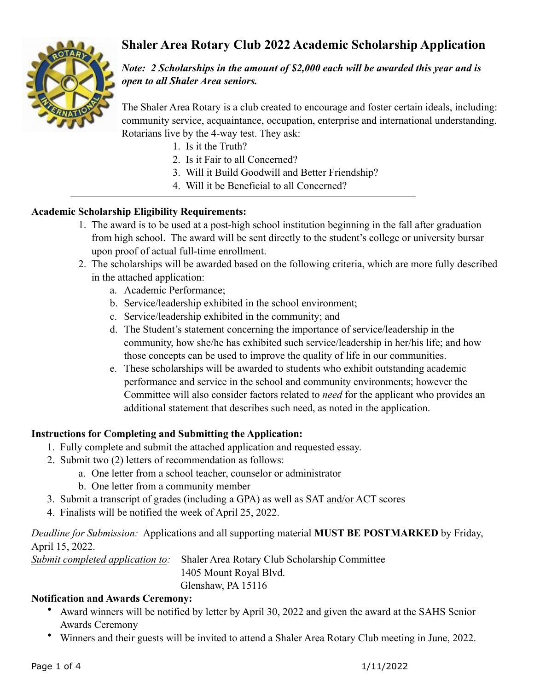# **Shaler Area Rotary Club 2022 Academic Scholarship Application**



*Note: 2 Scholarships in the amount of \$2,000 each will be awarded this year and is open to all Shaler Area seniors.*

The Shaler Area Rotary is a club created to encourage and foster certain ideals, including: community service, acquaintance, occupation, enterprise and international understanding. Rotarians live by the 4-way test. They ask:

- 1. Is it the Truth?
- 2. Is it Fair to all Concerned?
- 3. Will it Build Goodwill and Better Friendship?
- 4. Will it be Beneficial to all Concerned?

### **Academic Scholarship Eligibility Requirements:**

- 1. The award is to be used at a post-high school institution beginning in the fall after graduation from high school. The award will be sent directly to the student's college or university bursar upon proof of actual full-time enrollment.
- 2. The scholarships will be awarded based on the following criteria, which are more fully described in the attached application:
	- a. Academic Performance;
	- b. Service/leadership exhibited in the school environment;
	- c. Service/leadership exhibited in the community; and
	- d. The Student's statement concerning the importance of service/leadership in the community, how she/he has exhibited such service/leadership in her/his life; and how those concepts can be used to improve the quality of life in our communities.
	- e. These scholarships will be awarded to students who exhibit outstanding academic performance and service in the school and community environments; however the Committee will also consider factors related to *need* for the applicant who provides an additional statement that describes such need, as noted in the application.

### **Instructions for Completing and Submitting the Application:**

- 1. Fully complete and submit the attached application and requested essay.
- 2. Submit two (2) letters of recommendation as follows:
	- a. One letter from a school teacher, counselor or administrator
	- b. One letter from a community member
- 3. Submit a transcript of grades (including a GPA) as well as SAT and/or ACT scores
- 4. Finalists will be notified the week of April 25, 2022.

### *Deadline for Submission:* Applications and all supporting material **MUST BE POSTMARKED** by Friday, April 15, 2022.

*Submit completed application to:* Shaler Area Rotary Club Scholarship Committee

 1405 Mount Royal Blvd. Glenshaw, PA 15116

#### **Notification and Awards Ceremony:**

- Award winners will be notified by letter by April 30, 2022 and given the award at the SAHS Senior Awards Ceremony
- Winners and their guests will be invited to attend a Shaler Area Rotary Club meeting in June, 2022.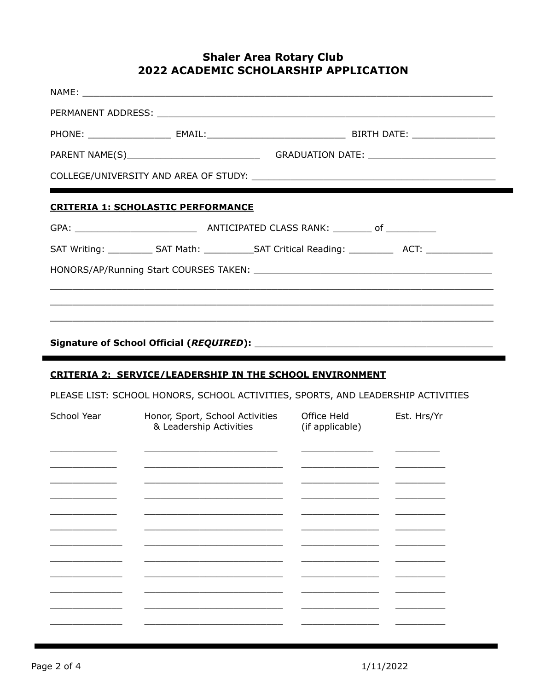### **Shaler Area Rotary Club** 2022 ACADEMIC SCHOLARSHIP APPLICATION

|             | PARENT NAME(S)___________________________________GRADUATION DATE: __________________________________ |                                         |             |
|-------------|------------------------------------------------------------------------------------------------------|-----------------------------------------|-------------|
|             |                                                                                                      |                                         |             |
|             | <b>CRITERIA 1: SCHOLASTIC PERFORMANCE</b>                                                            |                                         |             |
|             |                                                                                                      |                                         |             |
|             | SAT Writing: ____________ SAT Math: _____________SAT Critical Reading: _____________________________ |                                         |             |
|             |                                                                                                      |                                         |             |
|             |                                                                                                      |                                         |             |
|             |                                                                                                      |                                         |             |
|             |                                                                                                      |                                         |             |
|             |                                                                                                      |                                         |             |
|             |                                                                                                      |                                         |             |
|             | CRITERIA 2: SERVICE/LEADERSHIP IN THE SCHOOL ENVIRONMENT                                             |                                         |             |
|             | PLEASE LIST: SCHOOL HONORS, SCHOOL ACTIVITIES, SPORTS, AND LEADERSHIP ACTIVITIES                     |                                         |             |
| School Year | Honor, Sport, School Activities<br>& Leadership Activities                                           | Office Held<br>(if applicable)          | Est. Hrs/Yr |
|             |                                                                                                      |                                         |             |
|             |                                                                                                      |                                         |             |
|             | the control of the control of the control of the control of                                          | <u> 1980 - Johann Barbara, martin a</u> |             |

 $\overline{\phantom{a}}$ 

 $\overline{\phantom{0}}$ 

 $\overline{\phantom{0}}$ 

 $\overline{\phantom{0}}$ 

 $\overline{\phantom{0}}$ 

<u> Listen van die Stad van die Stad van die Stad van die Stad van die Stad van die Stad van die Stad van die Stad va</u>

- -

 $\overline{\phantom{0}}$ 

 $\overline{\phantom{0}}$ 

 $\overline{\phantom{0}}$ 

 $\overline{\phantom{0}}$ 

<u> Linda a shekara ta 1999 a shekara ta 1991 a shekara ta 1991 a shekara ta 1991 a shekara ta 1991 a shekara ta 1991 a shekara ta 1991 a shekara ta 1991 a shekara ta 1991 a shekara ta 1991 a shekara ta 1991 a shekara ta 199</u>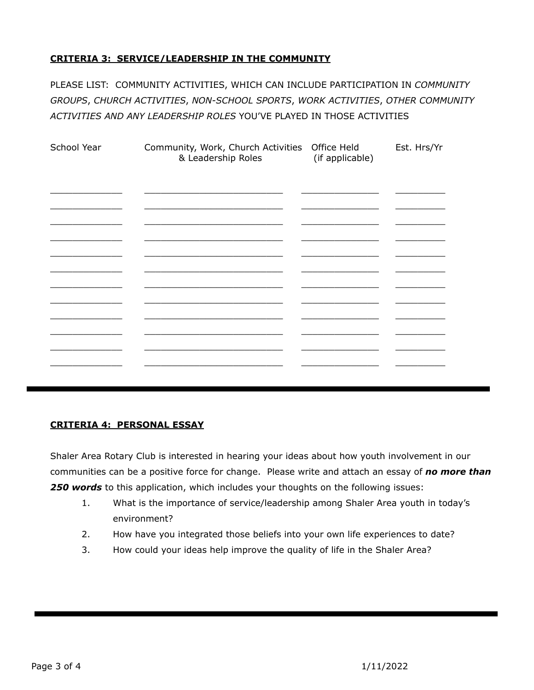#### **CRITERIA 3: SERVICE/LEADERSHIP IN THE COMMUNITY**

PLEASE LIST: COMMUNITY ACTIVITIES, WHICH CAN INCLUDE PARTICIPATION IN *COMMUNITY GROUPS*, *CHURCH ACTIVITIES*, *NON-SCHOOL SPORTS*, *WORK ACTIVITIES*, *OTHER COMMUNITY ACTIVITIES AND ANY LEADERSHIP ROLES* YOU'VE PLAYED IN THOSE ACTIVITIES

| School Year | Community, Work, Church Activities<br>& Leadership Roles | Office Held<br>(if applicable) | Est. Hrs/Yr |
|-------------|----------------------------------------------------------|--------------------------------|-------------|
|             |                                                          |                                |             |
|             |                                                          |                                |             |
|             |                                                          |                                |             |
|             |                                                          |                                |             |
|             |                                                          |                                |             |
|             |                                                          |                                |             |
|             |                                                          |                                |             |

#### **CRITERIA 4: PERSONAL ESSAY**

Shaler Area Rotary Club is interested in hearing your ideas about how youth involvement in our communities can be a positive force for change. Please write and attach an essay of *no more than 250 words* to this application, which includes your thoughts on the following issues:

- 1. What is the importance of service/leadership among Shaler Area youth in today's environment?
- 2. How have you integrated those beliefs into your own life experiences to date?
- 3. How could your ideas help improve the quality of life in the Shaler Area?